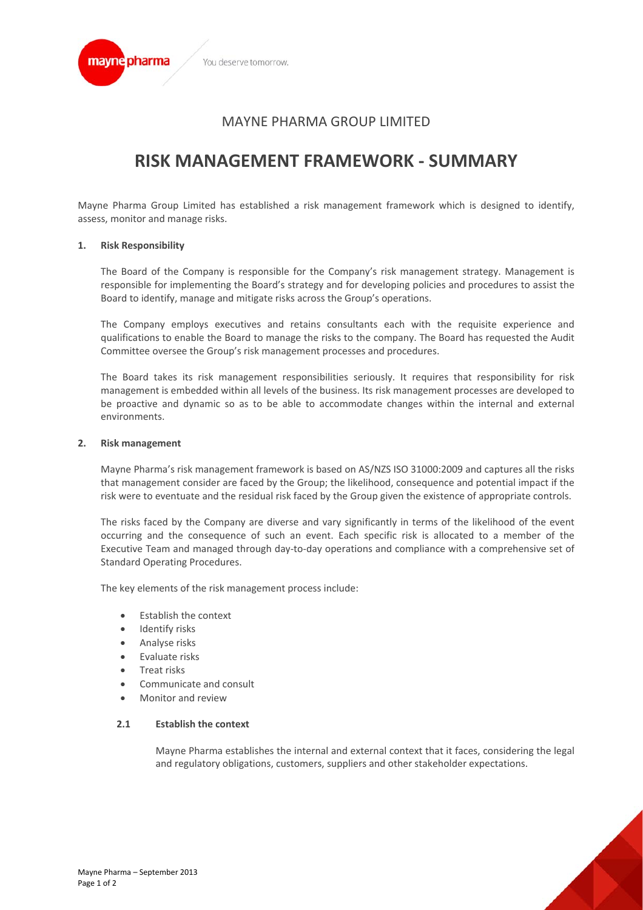

## MAYNE PHARMA GROUP LIMITED

# **RISK MANAGEMENT FRAMEWORK ‐ SUMMARY**

Mayne Pharma Group Limited has established a risk management framework which is designed to identify, assess, monitor and manage risks.

#### **1. Risk Responsibility**

The Board of the Company is responsible for the Company's risk management strategy. Management is responsible for implementing the Board's strategy and for developing policies and procedures to assist the Board to identify, manage and mitigate risks across the Group's operations.

The Company employs executives and retains consultants each with the requisite experience and qualifications to enable the Board to manage the risks to the company. The Board has requested the Audit Committee oversee the Group's risk management processes and procedures.

The Board takes its risk management responsibilities seriously. It requires that responsibility for risk management is embedded within all levels of the business. Its risk management processes are developed to be proactive and dynamic so as to be able to accommodate changes within the internal and external environments.

#### **2. Risk management**

Mayne Pharma's risk management framework is based on AS/NZS ISO 31000:2009 and captures all the risks that management consider are faced by the Group; the likelihood, consequence and potential impact if the risk were to eventuate and the residual risk faced by the Group given the existence of appropriate controls.

The risks faced by the Company are diverse and vary significantly in terms of the likelihood of the event occurring and the consequence of such an event. Each specific risk is allocated to a member of the Executive Team and managed through day‐to‐day operations and compliance with a comprehensive set of Standard Operating Procedures.

The key elements of the risk management process include:

- Establish the context
- Identify risks
- Analyse risks
- Evaluate risks
- Treat risks
- Communicate and consult
- Monitor and review

#### **2.1 Establish the context**

Mayne Pharma establishes the internal and external context that it faces, considering the legal and regulatory obligations, customers, suppliers and other stakeholder expectations.